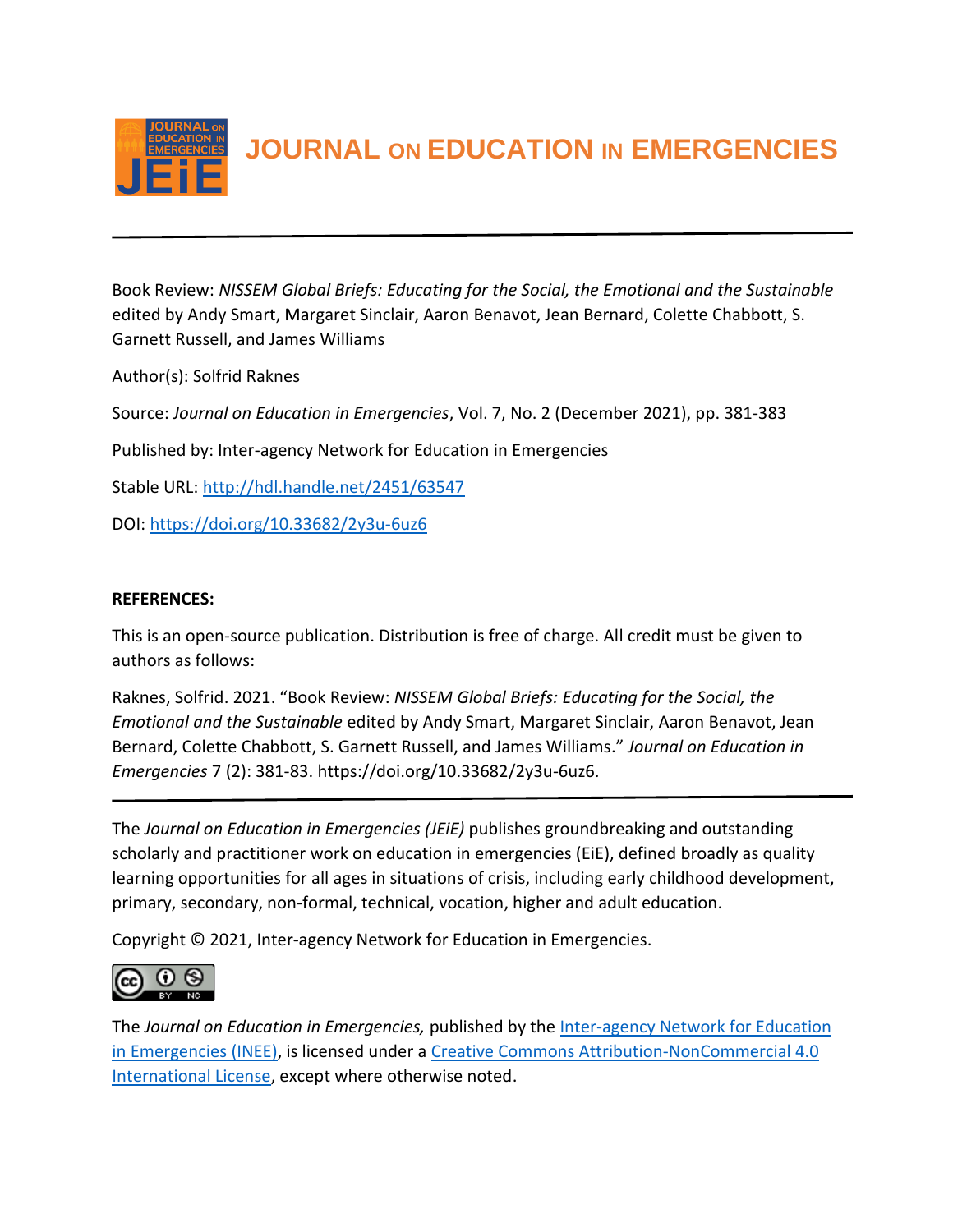

**JOURNAL ON EDUCATION IN EMERGENCIES**

Book Review: *NISSEM Global Briefs: Educating for the Social, the Emotional and the Sustainable* edited by Andy Smart, Margaret Sinclair, Aaron Benavot, Jean Bernard, Colette Chabbott, S. Garnett Russell, and James Williams

Author(s): Solfrid Raknes

Source: *Journal on Education in Emergencies*, Vol. 7, No. 2 (December 2021), pp. 381-383

Published by: Inter-agency Network for Education in Emergencies

Stable URL:<http://hdl.handle.net/2451/63547>

DOI:<https://doi.org/10.33682/2y3u-6uz6>

## **REFERENCES:**

This is an open-source publication. Distribution is free of charge. All credit must be given to authors as follows:

Raknes, Solfrid. 2021. "Book Review: *NISSEM Global Briefs: Educating for the Social, the Emotional and the Sustainable* edited by Andy Smart, Margaret Sinclair, Aaron Benavot, Jean Bernard, Colette Chabbott, S. Garnett Russell, and James Williams." *Journal on Education in Emergencies* 7 (2): 381-83. https://doi.org/10.33682/2y3u-6uz6.

The *Journal on Education in Emergencies (JEiE)* publishes groundbreaking and outstanding scholarly and practitioner work on education in emergencies (EiE), defined broadly as quality learning opportunities for all ages in situations of crisis, including early childhood development, primary, secondary, non-formal, technical, vocation, higher and adult education.

Copyright © 2021, Inter-agency Network for Education in Emergencies.



The *Journal on Education in Emergencies,* published by the [Inter-agency Network for Education](https://inee.org/evidence/journal)  [in Emergencies \(INEE\),](https://inee.org/evidence/journal) is licensed under a Creative Commons Attribution-NonCommercial 4.0 [International License,](https://creativecommons.org/licenses/by-nc/4.0/) except where otherwise noted.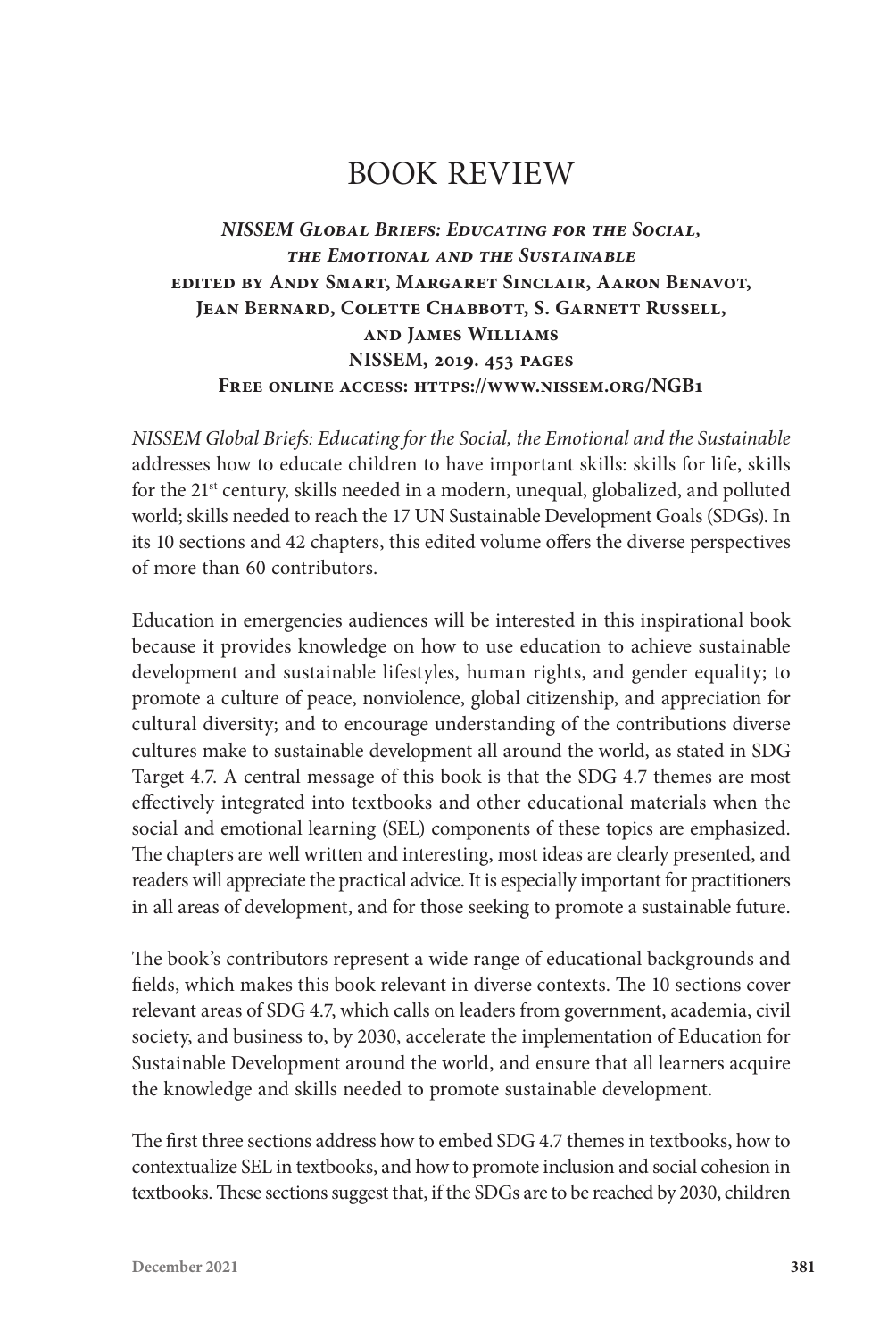# BOOK REVIEW

## *NISSEM Global Briefs: Educating for the Social, the Emotional and the Sustainable* **edited by Andy Smart, Margaret Sinclair, Aaron Benavot, Jean Bernard, Colette Chabbott, S. Garnett Russell, and James Williams NISSEM, 2019. 453 pages Free online access: https://www.nissem.org/NGB1**

*NISSEM Global Briefs: Educating for the Social, the Emotional and the Sustainable*  addresses how to educate children to have important skills: skills for life, skills for the 21<sup>st</sup> century, skills needed in a modern, unequal, globalized, and polluted world; skills needed to reach the 17 UN Sustainable Development Goals (SDGs). In its 10 sections and 42 chapters, this edited volume offers the diverse perspectives of more than 60 contributors.

Education in emergencies audiences will be interested in this inspirational book because it provides knowledge on how to use education to achieve sustainable development and sustainable lifestyles, human rights, and gender equality; to promote a culture of peace, nonviolence, global citizenship, and appreciation for cultural diversity; and to encourage understanding of the contributions diverse cultures make to sustainable development all around the world, as stated in SDG Target 4.7. A central message of this book is that the SDG 4.7 themes are most effectively integrated into textbooks and other educational materials when the social and emotional learning (SEL) components of these topics are emphasized. The chapters are well written and interesting, most ideas are clearly presented, and readers will appreciate the practical advice. It is especially important for practitioners in all areas of development, and for those seeking to promote a sustainable future.

The book's contributors represent a wide range of educational backgrounds and fields, which makes this book relevant in diverse contexts. The 10 sections cover relevant areas of SDG 4.7, which calls on leaders from government, academia, civil society, and business to, by 2030, accelerate the implementation of Education for Sustainable Development around the world, and ensure that all learners acquire the knowledge and skills needed to promote sustainable development.

The first three sections address how to embed SDG 4.7 themes in textbooks, how to contextualize SEL in textbooks, and how to promote inclusion and social cohesion in textbooks. These sections suggest that, if the SDGs are to be reached by 2030, children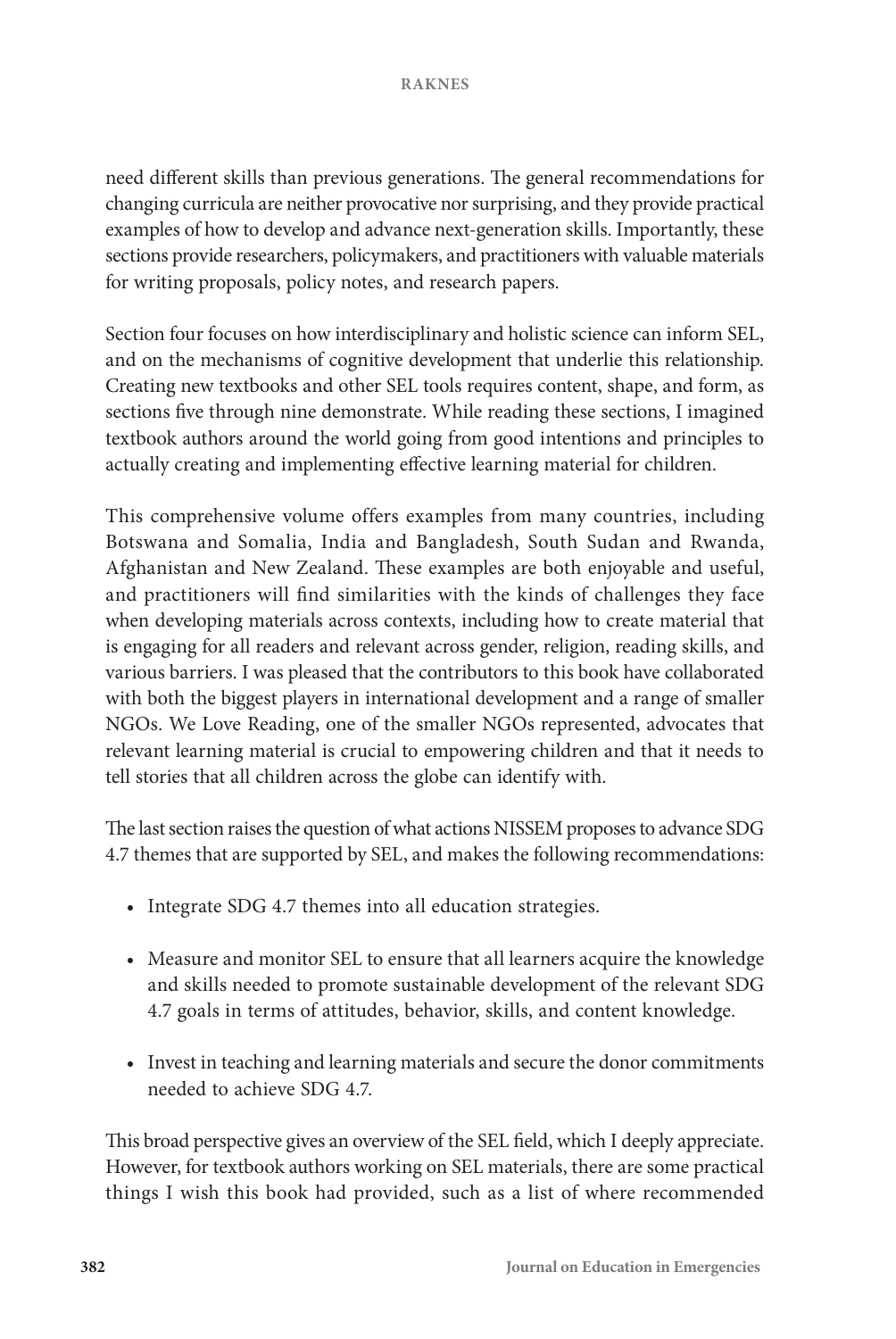#### **RAKNES**

need different skills than previous generations. The general recommendations for changing curricula are neither provocative nor surprising, and they provide practical examples of how to develop and advance next-generation skills. Importantly, these sections provide researchers, policymakers, and practitioners with valuable materials for writing proposals, policy notes, and research papers.

Section four focuses on how interdisciplinary and holistic science can inform SEL, and on the mechanisms of cognitive development that underlie this relationship. Creating new textbooks and other SEL tools requires content, shape, and form, as sections five through nine demonstrate. While reading these sections, I imagined textbook authors around the world going from good intentions and principles to actually creating and implementing effective learning material for children.

This comprehensive volume offers examples from many countries, including Botswana and Somalia, India and Bangladesh, South Sudan and Rwanda, Afghanistan and New Zealand. These examples are both enjoyable and useful, and practitioners will find similarities with the kinds of challenges they face when developing materials across contexts, including how to create material that is engaging for all readers and relevant across gender, religion, reading skills, and various barriers. I was pleased that the contributors to this book have collaborated with both the biggest players in international development and a range of smaller NGOs. We Love Reading, one of the smaller NGOs represented, advocates that relevant learning material is crucial to empowering children and that it needs to tell stories that all children across the globe can identify with.

The last section raises the question of what actions NISSEM proposes to advance SDG 4.7 themes that are supported by SEL, and makes the following recommendations:

- Integrate SDG 4.7 themes into all education strategies.
- Measure and monitor SEL to ensure that all learners acquire the knowledge and skills needed to promote sustainable development of the relevant SDG 4.7 goals in terms of attitudes, behavior, skills, and content knowledge.
- Invest in teaching and learning materials and secure the donor commitments needed to achieve SDG 4.7.

This broad perspective gives an overview of the SEL field, which I deeply appreciate. However, for textbook authors working on SEL materials, there are some practical things I wish this book had provided, such as a list of where recommended